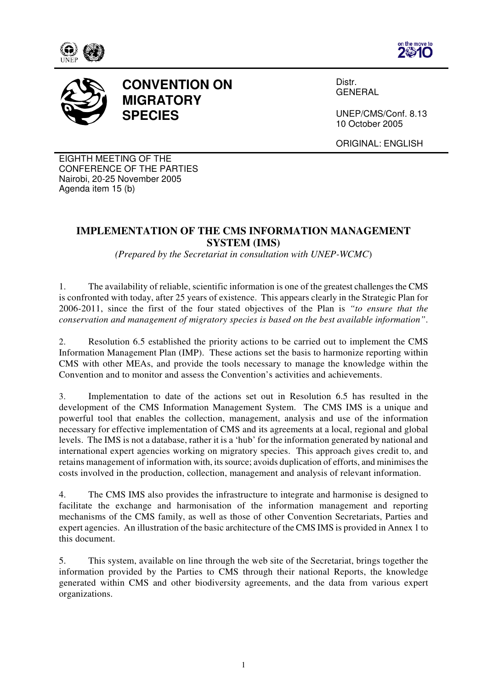





## **CONVENTION ON MIGRATORY SPECIES**

Distr. **GENERAL** 

UNEP/CMS/Conf. 8.13 10 October 2005

ORIGINAL: ENGLISH

EIGHTH MEETING OF THE CONFERENCE OF THE PARTIES Nairobi, 20-25 November 2005 Agenda item 15 (b)

## **IMPLEMENTATION OF THE CMS INFORMATION MANAGEMENT SYSTEM (IMS)**

*(Prepared by the Secretariat in consultation with UNEP-WCMC*)

1. The availability of reliable, scientific information is one of the greatest challenges the CMS is confronted with today, after 25 years of existence. This appears clearly in the Strategic Plan for 2006-2011, since the first of the four stated objectives of the Plan is *"to ensure that the conservation and management of migratory species is based on the best available information"*.

2. Resolution 6.5 established the priority actions to be carried out to implement the CMS Information Management Plan (IMP). These actions set the basis to harmonize reporting within CMS with other MEAs, and provide the tools necessary to manage the knowledge within the Convention and to monitor and assess the Convention's activities and achievements.

3. Implementation to date of the actions set out in Resolution 6.5 has resulted in the development of the CMS Information Management System. The CMS IMS is a unique and powerful tool that enables the collection, management, analysis and use of the information necessary for effective implementation of CMS and its agreements at a local, regional and global levels. The IMS is not a database, rather it is a 'hub' for the information generated by national and international expert agencies working on migratory species. This approach gives credit to, and retains management of information with, its source; avoids duplication of efforts, and minimises the costs involved in the production, collection, management and analysis of relevant information.

4. The CMS IMS also provides the infrastructure to integrate and harmonise is designed to facilitate the exchange and harmonisation of the information management and reporting mechanisms of the CMS family, as well as those of other Convention Secretariats, Parties and expert agencies. An illustration of the basic architecture of the CMS IMS is provided in Annex 1 to this document.

5. This system, available on line through the web site of the Secretariat, brings together the information provided by the Parties to CMS through their national Reports, the knowledge generated within CMS and other biodiversity agreements, and the data from various expert organizations.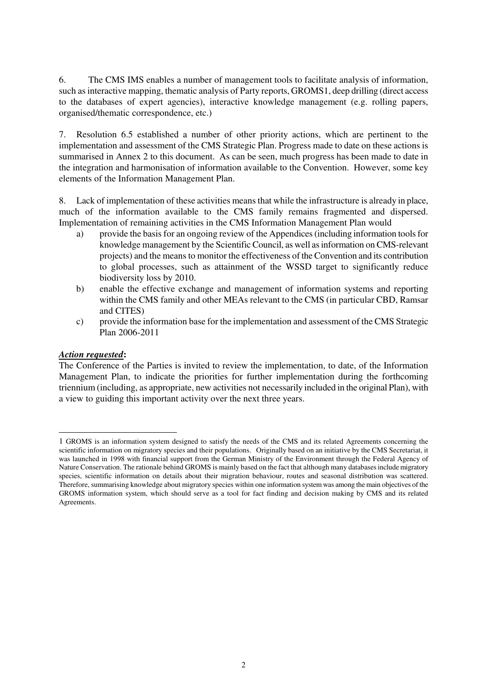6. The CMS IMS enables a number of management tools to facilitate analysis of information, such as interactive mapping, thematic analysis of Party reports, GROMS1, deep drilling (direct access to the databases of expert agencies), interactive knowledge management (e.g. rolling papers, organised/thematic correspondence, etc.)

7. Resolution 6.5 established a number of other priority actions, which are pertinent to the implementation and assessment of the CMS Strategic Plan. Progress made to date on these actions is summarised in Annex 2 to this document. As can be seen, much progress has been made to date in the integration and harmonisation of information available to the Convention. However, some key elements of the Information Management Plan.

8. Lack of implementation of these activities means that while the infrastructure is already in place, much of the information available to the CMS family remains fragmented and dispersed. Implementation of remaining activities in the CMS Information Management Plan would

- a) provide the basis for an ongoing review of the Appendices (including information tools for knowledge management by the Scientific Council, as well as information on CMS-relevant projects) and the means to monitor the effectiveness of the Convention and its contribution to global processes, such as attainment of the WSSD target to significantly reduce biodiversity loss by 2010.
- b) enable the effective exchange and management of information systems and reporting within the CMS family and other MEAs relevant to the CMS (in particular CBD, Ramsar and CITES)
- c) provide the information base for the implementation and assessment of the CMS Strategic Plan 2006-2011

## *Action requested***:**

 $\overline{a}$ 

The Conference of the Parties is invited to review the implementation, to date, of the Information Management Plan, to indicate the priorities for further implementation during the forthcoming triennium (including, as appropriate, new activities not necessarily included in the original Plan), with a view to guiding this important activity over the next three years.

<sup>1</sup> GROMS is an information system designed to satisfy the needs of the CMS and its related Agreements concerning the scientific information on migratory species and their populations. Originally based on an initiative by the CMS Secretariat, it was launched in 1998 with financial support from the German Ministry of the Environment through the Federal Agency of Nature Conservation. The rationale behind GROMS is mainly based on the fact that although many databases include migratory species, scientific information on details about their migration behaviour, routes and seasonal distribution was scattered. Therefore, summarising knowledge about migratory species within one information system was among the main objectives of the GROMS information system, which should serve as a tool for fact finding and decision making by CMS and its related Agreements.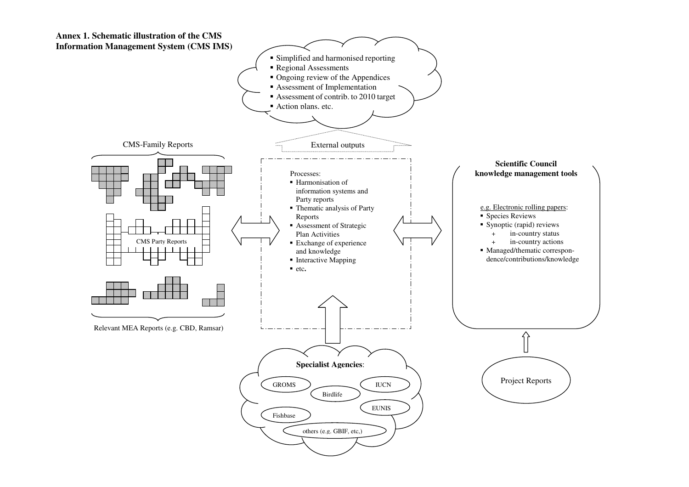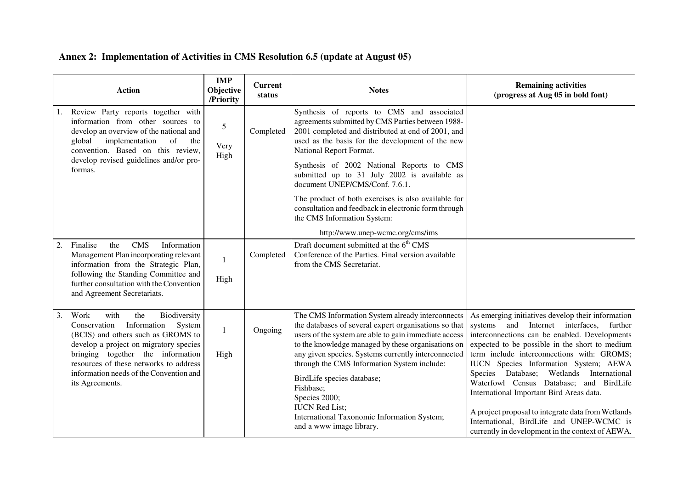## **Annex 2: Implementation of Activities in CMS Resolution 6.5 (update at August 05)**

|    | <b>Action</b>                                                                                                                                                                                                                                                                                             | <b>IMP</b><br>Objective<br>/Priority | <b>Current</b><br>status | <b>Notes</b>                                                                                                                                                                                                                                                                                                                                                                                                                                                                                   | <b>Remaining activities</b><br>(progress at Aug 05 in bold font)                                                                                                                                                                                                                                                                                                                                                                                                                                                                                                                             |
|----|-----------------------------------------------------------------------------------------------------------------------------------------------------------------------------------------------------------------------------------------------------------------------------------------------------------|--------------------------------------|--------------------------|------------------------------------------------------------------------------------------------------------------------------------------------------------------------------------------------------------------------------------------------------------------------------------------------------------------------------------------------------------------------------------------------------------------------------------------------------------------------------------------------|----------------------------------------------------------------------------------------------------------------------------------------------------------------------------------------------------------------------------------------------------------------------------------------------------------------------------------------------------------------------------------------------------------------------------------------------------------------------------------------------------------------------------------------------------------------------------------------------|
|    | Review Party reports together with<br>1.<br>information from other sources to<br>develop an overview of the national and<br>implementation<br>global<br>of<br>the<br>convention. Based on this review,                                                                                                    | 5<br>Very<br>High                    | Completed                | Synthesis of reports to CMS and associated<br>agreements submitted by CMS Parties between 1988-<br>2001 completed and distributed at end of 2001, and<br>used as the basis for the development of the new<br>National Report Format.                                                                                                                                                                                                                                                           |                                                                                                                                                                                                                                                                                                                                                                                                                                                                                                                                                                                              |
|    | develop revised guidelines and/or pro-<br>formas.                                                                                                                                                                                                                                                         |                                      |                          | Synthesis of 2002 National Reports to CMS<br>submitted up to 31 July 2002 is available as<br>document UNEP/CMS/Conf. 7.6.1.                                                                                                                                                                                                                                                                                                                                                                    |                                                                                                                                                                                                                                                                                                                                                                                                                                                                                                                                                                                              |
|    |                                                                                                                                                                                                                                                                                                           |                                      |                          | The product of both exercises is also available for<br>consultation and feedback in electronic form through<br>the CMS Information System:                                                                                                                                                                                                                                                                                                                                                     |                                                                                                                                                                                                                                                                                                                                                                                                                                                                                                                                                                                              |
|    |                                                                                                                                                                                                                                                                                                           |                                      |                          | http://www.unep-wcmc.org/cms/ims                                                                                                                                                                                                                                                                                                                                                                                                                                                               |                                                                                                                                                                                                                                                                                                                                                                                                                                                                                                                                                                                              |
| 2. | Finalise<br><b>CMS</b><br>Information<br>the<br>Management Plan incorporating relevant<br>information from the Strategic Plan,<br>following the Standing Committee and<br>further consultation with the Convention<br>and Agreement Secretariats.                                                         | $\mathbf{1}$<br>High                 | Completed                | Draft document submitted at the 6 <sup>th</sup> CMS<br>Conference of the Parties. Final version available<br>from the CMS Secretariat.                                                                                                                                                                                                                                                                                                                                                         |                                                                                                                                                                                                                                                                                                                                                                                                                                                                                                                                                                                              |
| 3. | Work<br>with<br>Biodiversity<br>the<br>Information<br>System<br>Conservation<br>(BCIS) and others such as GROMS to<br>develop a project on migratory species<br>bringing together the information<br>resources of these networks to address<br>information needs of the Convention and<br>its Agreements. | 1<br>High                            | Ongoing                  | The CMS Information System already interconnects<br>the databases of several expert organisations so that<br>users of the system are able to gain immediate access<br>to the knowledge managed by these organisations on<br>any given species. Systems currently interconnected<br>through the CMS Information System include:<br>BirdLife species database;<br>Fishbase;<br>Species 2000;<br><b>IUCN</b> Red List;<br>International Taxonomic Information System;<br>and a www image library. | As emerging initiatives develop their information<br>and Internet interfaces,<br>systems<br>further<br>interconnections can be enabled. Developments<br>expected to be possible in the short to medium<br>term include interconnections with: GROMS;<br>IUCN Species Information System; AEWA<br>Species Database;<br>Wetlands<br>International<br>Waterfowl Census Database; and BirdLife<br>International Important Bird Areas data.<br>A project proposal to integrate data from Wetlands<br>International, BirdLife and UNEP-WCMC is<br>currently in development in the context of AEWA. |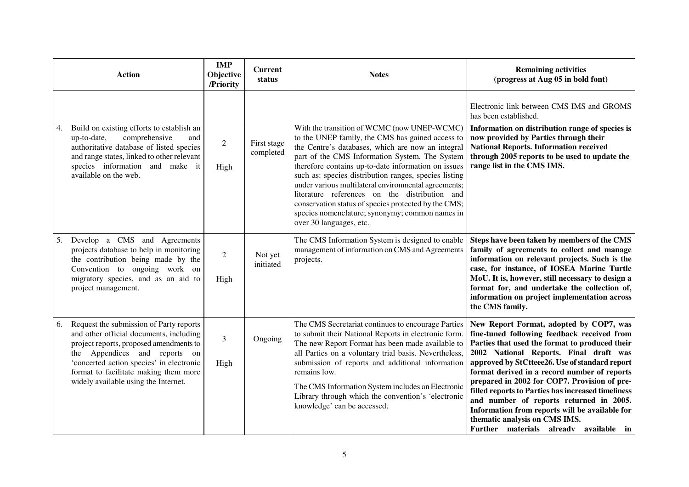|    | <b>Action</b>                                                                                                                                                                                                                                                                               | <b>IMP</b><br>Objective<br>/Priority | <b>Current</b><br>status | <b>Notes</b>                                                                                                                                                                                                                                                                                                                                                                                                                                                                                                                                                          | <b>Remaining activities</b><br>(progress at Aug 05 in bold font)                                                                                                                                                                                                                                                                                                                                                                                                                                                                                                   |
|----|---------------------------------------------------------------------------------------------------------------------------------------------------------------------------------------------------------------------------------------------------------------------------------------------|--------------------------------------|--------------------------|-----------------------------------------------------------------------------------------------------------------------------------------------------------------------------------------------------------------------------------------------------------------------------------------------------------------------------------------------------------------------------------------------------------------------------------------------------------------------------------------------------------------------------------------------------------------------|--------------------------------------------------------------------------------------------------------------------------------------------------------------------------------------------------------------------------------------------------------------------------------------------------------------------------------------------------------------------------------------------------------------------------------------------------------------------------------------------------------------------------------------------------------------------|
|    |                                                                                                                                                                                                                                                                                             |                                      |                          |                                                                                                                                                                                                                                                                                                                                                                                                                                                                                                                                                                       | Electronic link between CMS IMS and GROMS<br>has been established.                                                                                                                                                                                                                                                                                                                                                                                                                                                                                                 |
| 4. | Build on existing efforts to establish an<br>up-to-date,<br>comprehensive<br>and<br>authoritative database of listed species<br>and range states, linked to other relevant<br>species information and make it<br>available on the web.                                                      | $\overline{2}$<br>High               | First stage<br>completed | With the transition of WCMC (now UNEP-WCMC)<br>to the UNEP family, the CMS has gained access to<br>the Centre's databases, which are now an integral<br>part of the CMS Information System. The System<br>therefore contains up-to-date information on issues<br>such as: species distribution ranges, species listing<br>under various multilateral environmental agreements;<br>literature references on the distribution and<br>conservation status of species protected by the CMS;<br>species nomenclature; synonymy; common names in<br>over 30 languages, etc. | Information on distribution range of species is<br>now provided by Parties through their<br><b>National Reports. Information received</b><br>through 2005 reports to be used to update the<br>range list in the CMS IMS.                                                                                                                                                                                                                                                                                                                                           |
| 5. | Develop a CMS and Agreements<br>projects database to help in monitoring<br>the contribution being made by the<br>Convention to ongoing work on<br>migratory species, and as an aid to<br>project management.                                                                                | $\overline{2}$<br>High               | Not yet<br>initiated     | The CMS Information System is designed to enable<br>management of information on CMS and Agreements<br>projects.                                                                                                                                                                                                                                                                                                                                                                                                                                                      | Steps have been taken by members of the CMS<br>family of agreements to collect and manage<br>information on relevant projects. Such is the<br>case, for instance, of IOSEA Marine Turtle<br>MoU. It is, however, still necessary to design a<br>format for, and undertake the collection of,<br>information on project implementation across<br>the CMS family.                                                                                                                                                                                                    |
| 6. | Request the submission of Party reports<br>and other official documents, including<br>project reports, proposed amendments to<br>the Appendices and reports on<br>'concerted action species' in electronic<br>format to facilitate making them more<br>widely available using the Internet. | 3<br>High                            | Ongoing                  | The CMS Secretariat continues to encourage Parties<br>to submit their National Reports in electronic form.<br>The new Report Format has been made available to<br>all Parties on a voluntary trial basis. Nevertheless,<br>submission of reports and additional information<br>remains low.<br>The CMS Information System includes an Electronic<br>Library through which the convention's 'electronic<br>knowledge' can be accessed.                                                                                                                                 | New Report Format, adopted by COP7, was<br>fine-tuned following feedback received from<br>Parties that used the format to produced their<br>2002 National Reports. Final draft was<br>approved by StCtteee26. Use of standard report<br>format derived in a record number of reports<br>prepared in 2002 for COP7. Provision of pre-<br>filled reports to Parties has increased timeliness<br>and number of reports returned in 2005.<br>Information from reports will be available for<br>thematic analysis on CMS IMS.<br>Further materials already available in |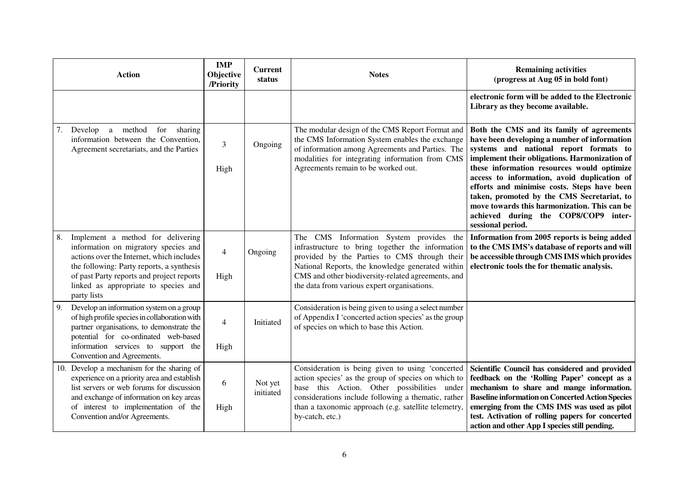| <b>Action</b>                                                                                                                                                                                                                                                                 | <b>IMP</b><br>Objective<br>/Priority | <b>Current</b><br>status | <b>Notes</b>                                                                                                                                                                                                                                                                                         | <b>Remaining activities</b><br>(progress at Aug 05 in bold font)                                                                                                                                                                                                                                                                                                                                                                                                                            |
|-------------------------------------------------------------------------------------------------------------------------------------------------------------------------------------------------------------------------------------------------------------------------------|--------------------------------------|--------------------------|------------------------------------------------------------------------------------------------------------------------------------------------------------------------------------------------------------------------------------------------------------------------------------------------------|---------------------------------------------------------------------------------------------------------------------------------------------------------------------------------------------------------------------------------------------------------------------------------------------------------------------------------------------------------------------------------------------------------------------------------------------------------------------------------------------|
|                                                                                                                                                                                                                                                                               |                                      |                          |                                                                                                                                                                                                                                                                                                      | electronic form will be added to the Electronic<br>Library as they become available.                                                                                                                                                                                                                                                                                                                                                                                                        |
| Develop<br>a method for sharing<br>7.<br>information between the Convention,<br>Agreement secretariats, and the Parties                                                                                                                                                       | 3<br>High                            | Ongoing                  | The modular design of the CMS Report Format and<br>the CMS Information System enables the exchange<br>of information among Agreements and Parties. The<br>modalities for integrating information from CMS<br>Agreements remain to be worked out.                                                     | Both the CMS and its family of agreements<br>have been developing a number of information<br>systems and national report formats to<br>implement their obligations. Harmonization of<br>these information resources would optimize<br>access to information, avoid duplication of<br>efforts and minimise costs. Steps have been<br>taken, promoted by the CMS Secretariat, to<br>move towards this harmonization. This can be<br>achieved during the COP8/COP9 inter-<br>sessional period. |
| Implement a method for delivering<br>8.<br>information on migratory species and<br>actions over the Internet, which includes<br>the following: Party reports, a synthesis<br>of past Party reports and project reports<br>linked as appropriate to species and<br>party lists | $\overline{\mathcal{A}}$<br>High     | Ongoing                  | The CMS Information System provides the<br>infrastructure to bring together the information<br>provided by the Parties to CMS through their<br>National Reports, the knowledge generated within<br>CMS and other biodiversity-related agreements, and<br>the data from various expert organisations. | Information from 2005 reports is being added<br>to the CMS IMS's database of reports and will<br>be accessible through CMS IMS which provides<br>electronic tools the for thematic analysis.                                                                                                                                                                                                                                                                                                |
| Develop an information system on a group<br>9.<br>of high profile species in collaboration with<br>partner organisations, to demonstrate the<br>potential for co-ordinated web-based<br>information services to support the<br>Convention and Agreements.                     | $\overline{\mathcal{L}}$<br>High     | Initiated                | Consideration is being given to using a select number<br>of Appendix I 'concerted action species' as the group<br>of species on which to base this Action.                                                                                                                                           |                                                                                                                                                                                                                                                                                                                                                                                                                                                                                             |
| 10. Develop a mechanism for the sharing of<br>experience on a priority area and establish<br>list servers or web forums for discussion<br>and exchange of information on key areas<br>of interest to implementation of the<br>Convention and/or Agreements.                   | 6<br>High                            | Not yet<br>initiated     | Consideration is being given to using 'concerted<br>action species' as the group of species on which to<br>base this Action. Other possibilities under<br>considerations include following a thematic, rather<br>than a taxonomic approach (e.g. satellite telemetry,<br>by-catch, etc.)             | Scientific Council has considered and provided<br>feedback on the 'Rolling Paper' concept as a<br>mechanism to share and mange information.<br><b>Baseline information on Concerted Action Species</b><br>emerging from the CMS IMS was used as pilot<br>test. Activation of rolling papers for concerted<br>action and other App I species still pending.                                                                                                                                  |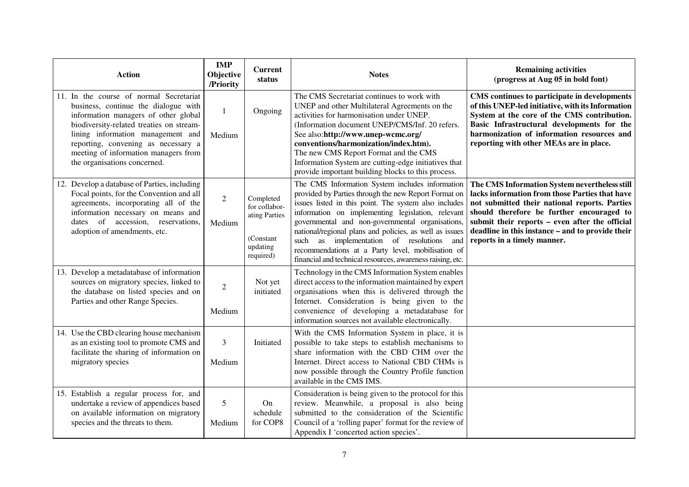| <b>Action</b>                                                                                                                                                                                                                                                                                                           | <b>IMP</b><br>Objective<br>/Priority | <b>Current</b><br>status                                                          | <b>Notes</b>                                                                                                                                                                                                                                                                                                                                                                                                                                                                                               | <b>Remaining activities</b><br>(progress at Aug 05 in bold font)                                                                                                                                                                                                                                                                   |
|-------------------------------------------------------------------------------------------------------------------------------------------------------------------------------------------------------------------------------------------------------------------------------------------------------------------------|--------------------------------------|-----------------------------------------------------------------------------------|------------------------------------------------------------------------------------------------------------------------------------------------------------------------------------------------------------------------------------------------------------------------------------------------------------------------------------------------------------------------------------------------------------------------------------------------------------------------------------------------------------|------------------------------------------------------------------------------------------------------------------------------------------------------------------------------------------------------------------------------------------------------------------------------------------------------------------------------------|
| 11. In the course of normal Secretariat<br>business, continue the dialogue with<br>information managers of other global<br>biodiversity-related treaties on stream-<br>lining information management and<br>reporting, convening as necessary a<br>meeting of information managers from<br>the organisations concerned. | -1<br>Medium                         | Ongoing                                                                           | The CMS Secretariat continues to work with<br>UNEP and other Multilateral Agreements on the<br>activities for harmonisation under UNEP.<br>(Information document UNEP/CMS/Inf. 20 refers.<br>See also:http://www.unep-wcmc.org/<br>conventions/harmonization/index.htm).<br>The new CMS Report Format and the CMS<br>Information System are cutting-edge initiatives that<br>provide important building blocks to this process.                                                                            | CMS continues to participate in developments<br>of this UNEP-led initiative, with its Information<br>System at the core of the CMS contribution.<br>Basic Infrastructural developments for the<br>harmonization of information resources and<br>reporting with other MEAs are in place.                                            |
| 12. Develop a database of Parties, including<br>Focal points, for the Convention and all<br>agreements, incorporating all of the<br>information necessary on means and<br>dates of accession, reservations,<br>adoption of amendments, etc.                                                                             | $\overline{2}$<br>Medium             | Completed<br>for collabor-<br>ating Parties<br>(Constant<br>updating<br>required) | The CMS Information System includes information<br>provided by Parties through the new Report Format on<br>issues listed in this point. The system also includes<br>information on implementing legislation, relevant<br>governmental and non-governmental organisations,<br>national/regional plans and policies, as well as issues<br>as implementation of resolutions<br>such<br>and<br>recommendations at a Party level, mobilisation of<br>financial and technical resources, awareness raising, etc. | The CMS Information System nevertheless still<br>lacks information from those Parties that have<br>not submitted their national reports. Parties<br>should therefore be further encouraged to<br>submit their reports – even after the official<br>deadline in this instance – and to provide their<br>reports in a timely manner. |
| 13. Develop a metadatabase of information<br>sources on migratory species, linked to<br>the database on listed species and on<br>Parties and other Range Species.                                                                                                                                                       | $\overline{2}$<br>Medium             | Not yet<br>initiated                                                              | Technology in the CMS Information System enables<br>direct access to the information maintained by expert<br>organisations when this is delivered through the<br>Internet. Consideration is being given to the<br>convenience of developing a metadatabase for<br>information sources not available electronically.                                                                                                                                                                                        |                                                                                                                                                                                                                                                                                                                                    |
| 14. Use the CBD clearing house mechanism<br>as an existing tool to promote CMS and<br>facilitate the sharing of information on<br>migratory species                                                                                                                                                                     | 3<br>Medium                          | Initiated                                                                         | With the CMS Information System in place, it is<br>possible to take steps to establish mechanisms to<br>share information with the CBD CHM over the<br>Internet. Direct access to National CBD CHMs is<br>now possible through the Country Profile function<br>available in the CMS IMS.                                                                                                                                                                                                                   |                                                                                                                                                                                                                                                                                                                                    |
| 15. Establish a regular process for, and<br>undertake a review of appendices based<br>on available information on migratory<br>species and the threats to them.                                                                                                                                                         | 5<br>Medium                          | On<br>schedule<br>for COP8                                                        | Consideration is being given to the protocol for this<br>review. Meanwhile, a proposal is also being<br>submitted to the consideration of the Scientific<br>Council of a 'rolling paper' format for the review of<br>Appendix I 'concerted action species'.                                                                                                                                                                                                                                                |                                                                                                                                                                                                                                                                                                                                    |